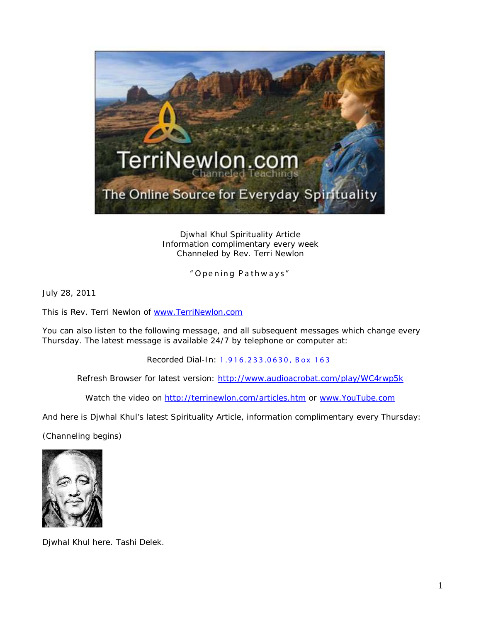

Djwhal Khul Spirituality Article Information complimentary every week Channeled by Rev. Terri Newlon

" Opening Pathw ays"

July 28, 2011

This is Rev. Terri Newlon of [www.TerriNewlon.com](http://www.terrinewlon.com/)

You can also listen to the following message, and all subsequent messages which change every Thursday. The latest message is available 24/7 by telephone or computer at:

Recorded Dial-In: 1.916.233.0630, Box 163

Refresh Browser for latest version: <http://www.audioacrobat.com/play/WC4rwp5k>

Watch the video on<http://terrinewlon.com/articles.htm> or [www.YouTube.com](http://www.youtube.com/)

And here is Djwhal Khul's latest Spirituality Article, information complimentary every Thursday:

(Channeling begins)



Djwhal Khul here. Tashi Delek.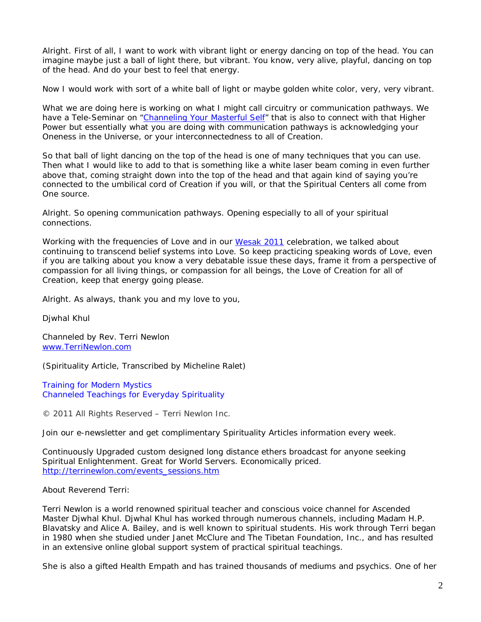Alright. First of all, I want to work with vibrant light or energy dancing on top of the head. You can imagine maybe just a ball of light there, but *vibrant*. You know, very alive, playful, dancing on top of the head. And do your best to feel that energy.

Now I would work with sort of a white ball of light or maybe golden white color, very, very vibrant.

What we are doing here is working on what I might call circuitry or communication pathways. We have a Tele-Seminar on ["Channeling Your Masterful Self"](http://www.terrinewlon.com/telecourses.htm) that is also to connect with that Higher Power but essentially what you are doing with communication pathways is acknowledging your Oneness in the Universe, or your interconnectedness to all of Creation.

So that ball of light dancing on the top of the head is one of many techniques that you can use. Then what I would like to add to that is something like a white laser beam coming in even further above that, coming straight down into the top of the head and that again kind of saying you're connected to the umbilical cord of Creation if you will, or that the Spiritual Centers all come from One source.

Alright. So opening communication pathways. Opening especially to all of your spiritual connections.

Working with the frequencies of Love and in our [Wesak 2011](http://www.terrinewlon.com/audio_downloads.htm#wesak) celebration, we talked about continuing to transcend belief systems into Love. So keep practicing speaking words of Love, even if you are talking about you know a very debatable issue these days, frame it from a perspective of compassion for all living things, or compassion for all beings, the Love of Creation for all of Creation, keep that energy going please.

Alright. As always, thank you and my love to you,

Djwhal Khul

Channeled by Rev. Terri Newlon [www.TerriNewlon.com](http://www.terrinewlon.com/)

(Spirituality Article, Transcribed by Micheline Ralet)

Training for Modern Mystics [Channeled Teachings for Everyday Spirituality](http://www.terrinewlon.com/)

© 2011 All Rights Reserved – Terri Newlon Inc.

Join our e-newsletter and get complimentary Spirituality Articles information every week.

Continuously Upgraded custom designed long distance ethers broadcast for anyone seeking Spiritual Enlightenment. Great for World Servers. Economically priced. [http://terrinewlon.com/events\\_sessions.htm](http://terrinewlon.com/events_sessions.htm)

About Reverend Terri:

Terri Newlon is a world renowned spiritual teacher and conscious voice channel for Ascended Master Djwhal Khul. Djwhal Khul has worked through numerous channels, including Madam H.P. Blavatsky and Alice A. Bailey, and is well known to spiritual students. His work through Terri began in 1980 when she studied under Janet McClure and The Tibetan Foundation, Inc., and has resulted in an extensive online global support system of practical spiritual teachings.

She is also a gifted Health Empath and has trained thousands of mediums and psychics. One of her